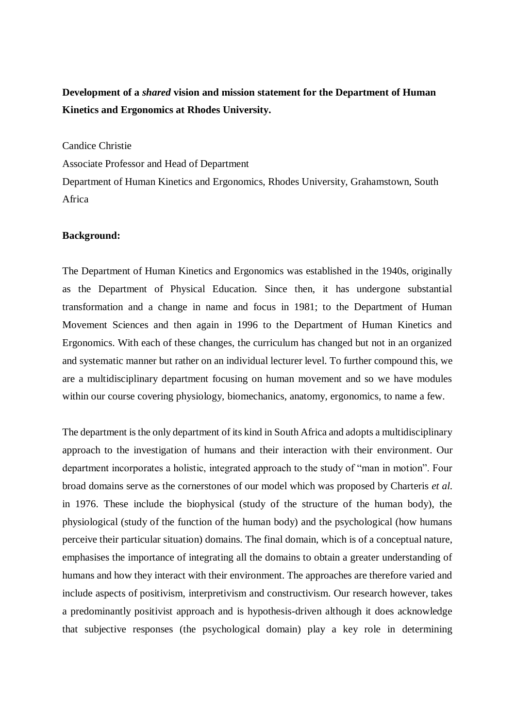# **Development of a** *shared* **vision and mission statement for the Department of Human Kinetics and Ergonomics at Rhodes University.**

Candice Christie

Associate Professor and Head of Department

Department of Human Kinetics and Ergonomics, Rhodes University, Grahamstown, South Africa

### **Background:**

The Department of Human Kinetics and Ergonomics was established in the 1940s, originally as the Department of Physical Education. Since then, it has undergone substantial transformation and a change in name and focus in 1981; to the Department of Human Movement Sciences and then again in 1996 to the Department of Human Kinetics and Ergonomics. With each of these changes, the curriculum has changed but not in an organized and systematic manner but rather on an individual lecturer level. To further compound this, we are a multidisciplinary department focusing on human movement and so we have modules within our course covering physiology, biomechanics, anatomy, ergonomics, to name a few.

The department is the only department of its kind in South Africa and adopts a multidisciplinary approach to the investigation of humans and their interaction with their environment. Our department incorporates a holistic, integrated approach to the study of "man in motion". Four broad domains serve as the cornerstones of our model which was proposed by Charteris *et al.* in 1976. These include the biophysical (study of the structure of the human body), the physiological (study of the function of the human body) and the psychological (how humans perceive their particular situation) domains. The final domain, which is of a conceptual nature, emphasises the importance of integrating all the domains to obtain a greater understanding of humans and how they interact with their environment. The approaches are therefore varied and include aspects of positivism, interpretivism and constructivism. Our research however, takes a predominantly positivist approach and is hypothesis-driven although it does acknowledge that subjective responses (the psychological domain) play a key role in determining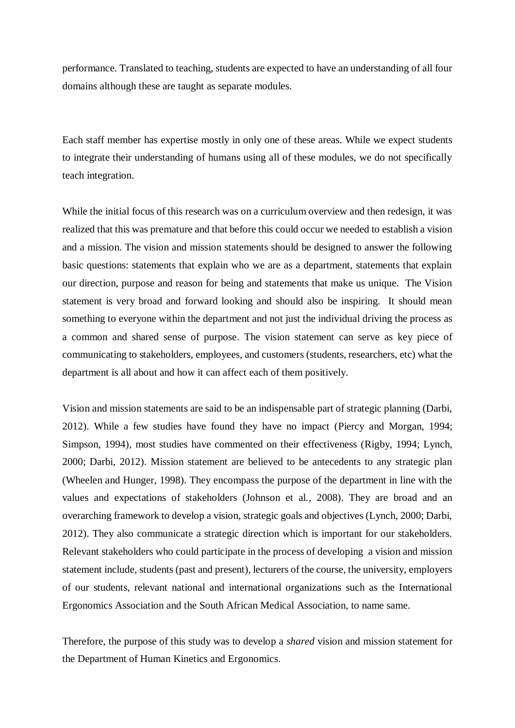performance. Translated to teaching, students are expected to have an understanding of all four domains although these are taught as separate modules.

Each staff member has expertise mostly in only one of these areas. While we expect students to integrate their understanding of humans using all of these modules, we do not specifically teach integration.

While the initial focus of this research was on a curriculum overview and then redesign, it was realized that this was premature and that before this could occur we needed to establish a vision and a mission. The vision and mission statements should be designed to answer the following basic questions: statements that explain who we are as a department, statements that explain our direction, purpose and reason for being and statements that make us unique. The Vision statement is very broad and forward looking and should also be inspiring. It should mean something to everyone within the department and not just the individual driving the process as a common and shared sense of purpose. The vision statement can serve as key piece of communicating to stakeholders, employees, and customers (students, researchers, etc) what the department is all about and how it can affect each of them positively.

Vision and mission statements are said to be an indispensable part of strategic planning (Darbi, 2012). While a few studies have found they have no impact (Piercy and Morgan, 1994; Simpson, 1994), most studies have commented on their effectiveness (Rigby, 1994; Lynch, 2000; Darbi, 2012). Mission statement are believed to be antecedents to any strategic plan (Wheelen and Hunger, 1998). They encompass the purpose of the department in line with the values and expectations of stakeholders (Johnson et al., 2008). They are broad and an overarching framework to develop a vision, strategic goals and objectives (Lynch, 2000; Darbi, 2012). They also communicate a strategic direction which is important for our stakeholders. Relevant stakeholders who could participate in the process of developing a vision and mission statement include, students (past and present), lecturers of the course, the university, employers of our students, relevant national and international organizations such as the International Ergonomics Association and the South African Medical Association, to name same.

Therefore, the purpose of this study was to develop a *shared* vision and mission statement for the Department of Human Kinetics and Ergonomics.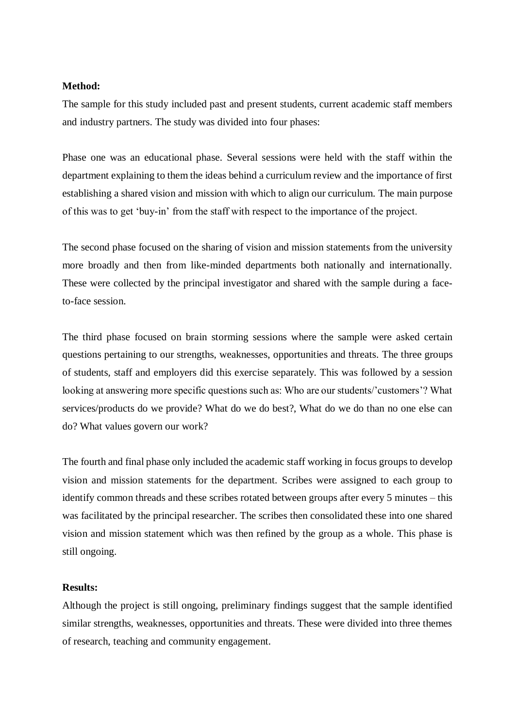#### **Method:**

The sample for this study included past and present students, current academic staff members and industry partners. The study was divided into four phases:

Phase one was an educational phase. Several sessions were held with the staff within the department explaining to them the ideas behind a curriculum review and the importance of first establishing a shared vision and mission with which to align our curriculum. The main purpose of this was to get 'buy-in' from the staff with respect to the importance of the project.

The second phase focused on the sharing of vision and mission statements from the university more broadly and then from like-minded departments both nationally and internationally. These were collected by the principal investigator and shared with the sample during a faceto-face session.

The third phase focused on brain storming sessions where the sample were asked certain questions pertaining to our strengths, weaknesses, opportunities and threats. The three groups of students, staff and employers did this exercise separately. This was followed by a session looking at answering more specific questions such as: Who are our students/'customers'? What services/products do we provide? What do we do best?, What do we do than no one else can do? What values govern our work?

The fourth and final phase only included the academic staff working in focus groups to develop vision and mission statements for the department. Scribes were assigned to each group to identify common threads and these scribes rotated between groups after every 5 minutes – this was facilitated by the principal researcher. The scribes then consolidated these into one shared vision and mission statement which was then refined by the group as a whole. This phase is still ongoing.

#### **Results:**

Although the project is still ongoing, preliminary findings suggest that the sample identified similar strengths, weaknesses, opportunities and threats. These were divided into three themes of research, teaching and community engagement.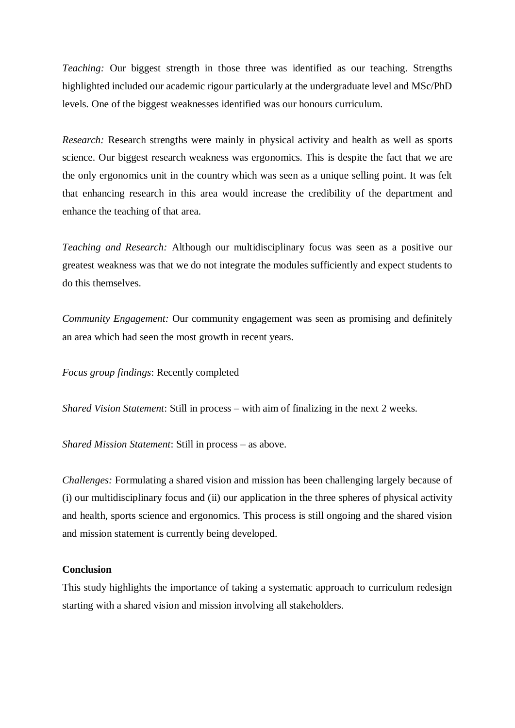*Teaching:* Our biggest strength in those three was identified as our teaching. Strengths highlighted included our academic rigour particularly at the undergraduate level and MSc/PhD levels. One of the biggest weaknesses identified was our honours curriculum.

*Research:* Research strengths were mainly in physical activity and health as well as sports science. Our biggest research weakness was ergonomics. This is despite the fact that we are the only ergonomics unit in the country which was seen as a unique selling point. It was felt that enhancing research in this area would increase the credibility of the department and enhance the teaching of that area.

*Teaching and Research:* Although our multidisciplinary focus was seen as a positive our greatest weakness was that we do not integrate the modules sufficiently and expect students to do this themselves.

*Community Engagement:* Our community engagement was seen as promising and definitely an area which had seen the most growth in recent years.

*Focus group findings*: Recently completed

*Shared Vision Statement*: Still in process – with aim of finalizing in the next 2 weeks.

*Shared Mission Statement*: Still in process – as above.

*Challenges:* Formulating a shared vision and mission has been challenging largely because of (i) our multidisciplinary focus and (ii) our application in the three spheres of physical activity and health, sports science and ergonomics. This process is still ongoing and the shared vision and mission statement is currently being developed.

#### **Conclusion**

This study highlights the importance of taking a systematic approach to curriculum redesign starting with a shared vision and mission involving all stakeholders.